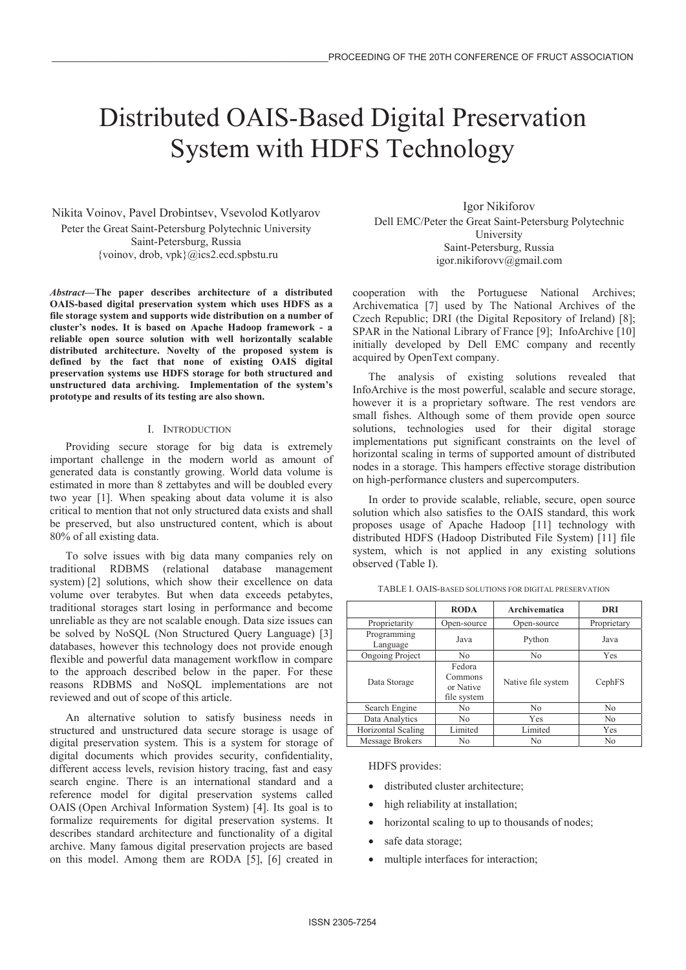# Distributed OAIS-Based Digital Preservation System with HDFS Technology

Nikita Voinov, Pavel Drobintsev, Vsevolod Kotlyarov Peter the Great Saint-Petersburg Polytechnic University Saint-Petersburg, Russia {voinov, drob, vpk}@ics2.ecd.spbstu.ru

*Abstract***—The paper describes architecture of a distributed OAIS-based digital preservation system which uses HDFS as a file storage system and supports wide distribution on a number of cluster's nodes. It is based on Apache Hadoop framework - a reliable open source solution with well horizontally scalable distributed architecture. Novelty of the proposed system is defined by the fact that none of existing OAIS digital preservation systems use HDFS storage for both structured and unstructured data archiving. Implementation of the system's prototype and results of its testing are also shown.** 

#### I. INTRODUCTION

Providing secure storage for big data is extremely important challenge in the modern world as amount of generated data is constantly growing. World data volume is estimated in more than 8 zettabytes and will be doubled every two year [1]. When speaking about data volume it is also critical to mention that not only structured data exists and shall be preserved, but also unstructured content, which is about 80% of all existing data.

To solve issues with big data many companies rely on traditional RDBMS (relational database management system) [2] solutions, which show their excellence on data volume over terabytes. But when data exceeds petabytes, traditional storages start losing in performance and become unreliable as they are not scalable enough. Data size issues can be solved by NoSQL (Non Structured Query Language) [3] databases, however this technology does not provide enough flexible and powerful data management workflow in compare to the approach described below in the paper. For these reasons RDBMS and NoSQL implementations are not reviewed and out of scope of this article.

An alternative solution to satisfy business needs in structured and unstructured data secure storage is usage of digital preservation system. This is a system for storage of digital documents which provides security, confidentiality, different access levels, revision history tracing, fast and easy search engine. There is an international standard and a reference model for digital preservation systems called OAIS (Open Archival Information System) [4]. Its goal is to formalize requirements for digital preservation systems. It describes standard architecture and functionality of a digital archive. Many famous digital preservation projects are based on this model. Among them are RODA [5], [6] created in

Igor Nikiforov Dell EMC/Peter the Great Saint-Petersburg Polytechnic University Saint-Petersburg, Russia igor.nikiforovv@gmail.com

cooperation with the Portuguese National Archives; Archivematica [7] used by The National Archives of the Czech Republic; DRI (the Digital Repository of Ireland) [8]; SPAR in the National Library of France [9]; InfoArchive [10] initially developed by Dell EMC company and recently acquired by OpenText company.

The analysis of existing solutions revealed that InfoArchive is the most powerful, scalable and secure storage, however it is a proprietary software. The rest vendors are small fishes. Although some of them provide open source solutions, technologies used for their digital storage implementations put significant constraints on the level of horizontal scaling in terms of supported amount of distributed nodes in a storage. This hampers effective storage distribution on high-performance clusters and supercomputers.

In order to provide scalable, reliable, secure, open source solution which also satisfies to the OAIS standard, this work proposes usage of Apache Hadoop [11] technology with distributed HDFS (Hadoop Distributed File System) [11] file system, which is not applied in any existing solutions observed (Table I).

|                         | <b>RODA</b>                                   | Archivematica      | DRI         |  |
|-------------------------|-----------------------------------------------|--------------------|-------------|--|
| Proprietarity           | Open-source                                   | Open-source        | Proprietary |  |
| Programming<br>Language | Java                                          | Python             | Java        |  |
| Ongoing Project         | No<br>No                                      |                    | <b>Yes</b>  |  |
| Data Storage            | Fedora<br>Commons<br>or Native<br>file system | Native file system | CephFS      |  |
| Search Engine           | No                                            | No                 | No          |  |
| Data Analytics          | No                                            |                    | No          |  |
| Horizontal Scaling      | Limited                                       |                    | Yes         |  |
| Message Brokers         | No                                            | No                 | No          |  |

TABLE I. OAIS-BASED SOLUTIONS FOR DIGITAL PRESERVATION

HDFS provides:

- distributed cluster architecture;
- high reliability at installation;
- horizontal scaling to up to thousands of nodes;
- safe data storage;
- multiple interfaces for interaction;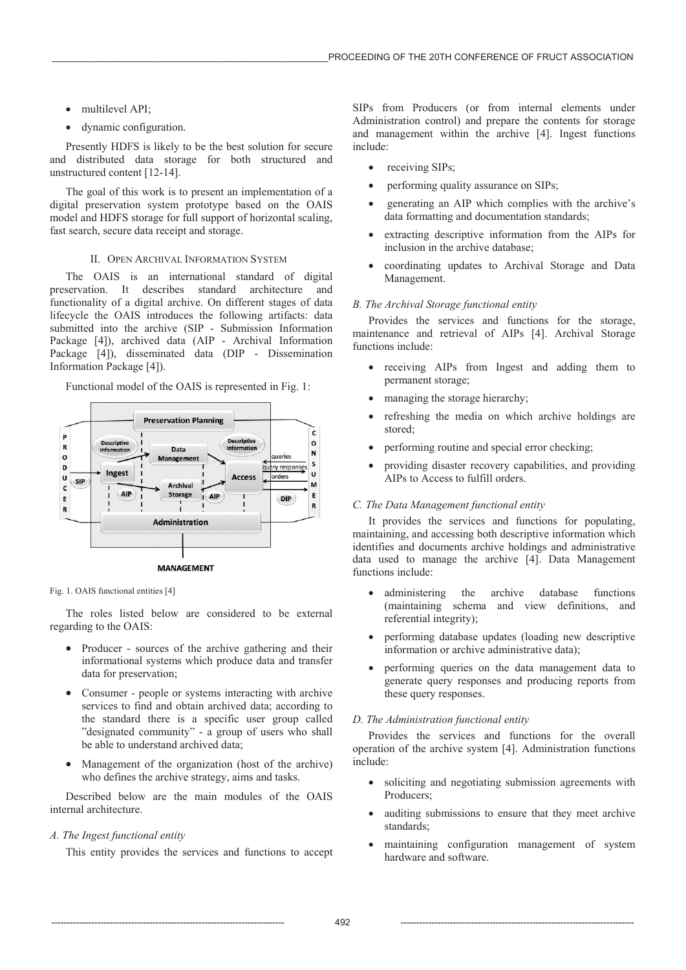- multilevel API;
- $\bullet$  dynamic configuration.

Presently HDFS is likely to be the best solution for secure and distributed data storage for both structured and unstructured content [12-14].

The goal of this work is to present an implementation of a digital preservation system prototype based on the OAIS model and HDFS storage for full support of horizontal scaling, fast search, secure data receipt and storage.

# II. OPEN ARCHIVAL INFORMATION SYSTEM

The OAIS is an international standard of digital preservation. It describes standard architecture and functionality of a digital archive. On different stages of data lifecycle the OAIS introduces the following artifacts: data submitted into the archive (SIP - Submission Information Package [4]), archived data (AIP - Archival Information Package [4]), disseminated data (DIP - Dissemination Information Package [4]).

Functional model of the OAIS is represented in Fig. 1:



Fig. 1. OAIS functional entities [4]

The roles listed below are considered to be external regarding to the OAIS:

- Producer sources of the archive gathering and their informational systems which produce data and transfer data for preservation;
- Consumer people or systems interacting with archive services to find and obtain archived data; according to the standard there is a specific user group called "designated community" - a group of users who shall be able to understand archived data;
- Management of the organization (host of the archive) who defines the archive strategy, aims and tasks.

Described below are the main modules of the OAIS internal architecture.

## *A. The Ingest functional entity*

This entity provides the services and functions to accept

SIPs from Producers (or from internal elements under Administration control) and prepare the contents for storage and management within the archive [4]. Ingest functions include:

- receiving SIPs;
- performing quality assurance on SIPs;
- generating an AIP which complies with the archive's data formatting and documentation standards;
- x extracting descriptive information from the AIPs for inclusion in the archive database;
- coordinating updates to Archival Storage and Data Management.

## *B. The Archival Storage functional entity*

Provides the services and functions for the storage, maintenance and retrieval of AIPs [4]. Archival Storage functions include:

- receiving AIPs from Ingest and adding them to permanent storage;
- managing the storage hierarchy;
- x refreshing the media on which archive holdings are stored;
- performing routine and special error checking;
- providing disaster recovery capabilities, and providing AIPs to Access to fulfill orders.

### *C. The Data Management functional entity*

It provides the services and functions for populating, maintaining, and accessing both descriptive information which identifies and documents archive holdings and administrative data used to manage the archive [4]. Data Management functions include:

- administering the archive database functions (maintaining schema and view definitions, and referential integrity);
- performing database updates (loading new descriptive information or archive administrative data);
- x performing queries on the data management data to generate query responses and producing reports from these query responses.

#### *D. The Administration functional entity*

Provides the services and functions for the overall operation of the archive system [4]. Administration functions include:

- soliciting and negotiating submission agreements with Producers;
- auditing submissions to ensure that they meet archive standards;
- maintaining configuration management of system hardware and software.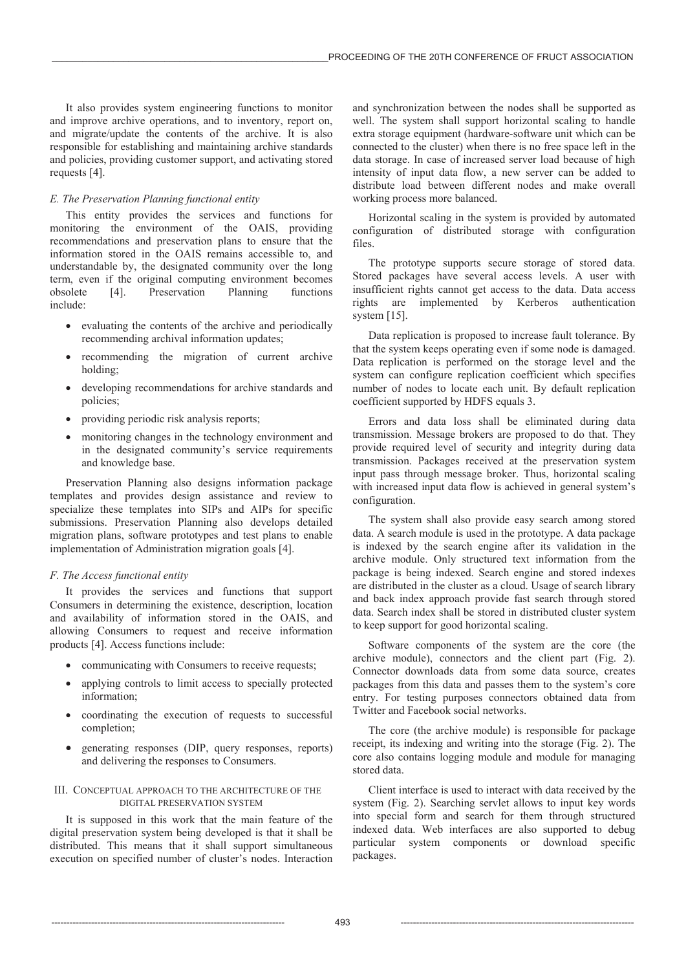It also provides system engineering functions to monitor and improve archive operations, and to inventory, report on, and migrate/update the contents of the archive. It is also responsible for establishing and maintaining archive standards and policies, providing customer support, and activating stored requests [4].

# *E. The Preservation Planning functional entity*

This entity provides the services and functions for monitoring the environment of the OAIS, providing recommendations and preservation plans to ensure that the information stored in the OAIS remains accessible to, and understandable by, the designated community over the long term, even if the original computing environment becomes obsolete [4]. Preservation Planning functions include:

- evaluating the contents of the archive and periodically recommending archival information updates;
- recommending the migration of current archive holding;
- developing recommendations for archive standards and policies;
- providing periodic risk analysis reports;
- monitoring changes in the technology environment and in the designated community's service requirements and knowledge base.

Preservation Planning also designs information package templates and provides design assistance and review to specialize these templates into SIPs and AIPs for specific submissions. Preservation Planning also develops detailed migration plans, software prototypes and test plans to enable implementation of Administration migration goals [4].

## *F. The Access functional entity*

It provides the services and functions that support Consumers in determining the existence, description, location and availability of information stored in the OAIS, and allowing Consumers to request and receive information products [4]. Access functions include:

- communicating with Consumers to receive requests;
- applying controls to limit access to specially protected information;
- coordinating the execution of requests to successful completion;
- generating responses (DIP, query responses, reports) and delivering the responses to Consumers.

# III. CONCEPTUAL APPROACH TO THE ARCHITECTURE OF THE DIGITAL PRESERVATION SYSTEM

It is supposed in this work that the main feature of the digital preservation system being developed is that it shall be distributed. This means that it shall support simultaneous execution on specified number of cluster's nodes. Interaction and synchronization between the nodes shall be supported as well. The system shall support horizontal scaling to handle extra storage equipment (hardware-software unit which can be connected to the cluster) when there is no free space left in the data storage. In case of increased server load because of high intensity of input data flow, a new server can be added to distribute load between different nodes and make overall working process more balanced.

Horizontal scaling in the system is provided by automated configuration of distributed storage with configuration files.

The prototype supports secure storage of stored data. Stored packages have several access levels. A user with insufficient rights cannot get access to the data. Data access rights are implemented by Kerberos authentication system [15].

Data replication is proposed to increase fault tolerance. By that the system keeps operating even if some node is damaged. Data replication is performed on the storage level and the system can configure replication coefficient which specifies number of nodes to locate each unit. By default replication coefficient supported by HDFS equals 3.

Errors and data loss shall be eliminated during data transmission. Message brokers are proposed to do that. They provide required level of security and integrity during data transmission. Packages received at the preservation system input pass through message broker. Thus, horizontal scaling with increased input data flow is achieved in general system's configuration.

The system shall also provide easy search among stored data. A search module is used in the prototype. A data package is indexed by the search engine after its validation in the archive module. Only structured text information from the package is being indexed. Search engine and stored indexes are distributed in the cluster as a cloud. Usage of search library and back index approach provide fast search through stored data. Search index shall be stored in distributed cluster system to keep support for good horizontal scaling.

Software components of the system are the core (the archive module), connectors and the client part (Fig. 2). Connector downloads data from some data source, creates packages from this data and passes them to the system's core entry. For testing purposes connectors obtained data from Twitter and Facebook social networks.

The core (the archive module) is responsible for package receipt, its indexing and writing into the storage (Fig. 2). The core also contains logging module and module for managing stored data.

Client interface is used to interact with data received by the system (Fig. 2). Searching servlet allows to input key words into special form and search for them through structured indexed data. Web interfaces are also supported to debug particular system components or download specific packages.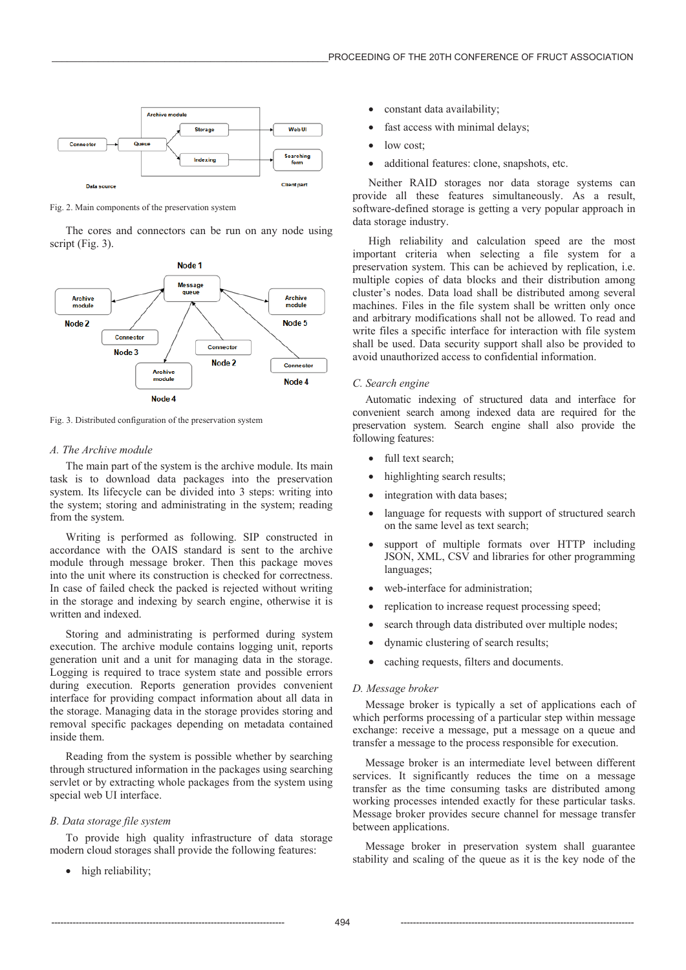

Fig. 2. Main components of the preservation system





Fig. 3. Distributed configuration of the preservation system

## *A. The Archive module*

The main part of the system is the archive module. Its main task is to download data packages into the preservation system. Its lifecycle can be divided into 3 steps: writing into the system; storing and administrating in the system; reading from the system.

Writing is performed as following. SIP constructed in accordance with the OAIS standard is sent to the archive module through message broker. Then this package moves into the unit where its construction is checked for correctness. In case of failed check the packed is rejected without writing in the storage and indexing by search engine, otherwise it is written and indexed.

Storing and administrating is performed during system execution. The archive module contains logging unit, reports generation unit and a unit for managing data in the storage. Logging is required to trace system state and possible errors during execution. Reports generation provides convenient interface for providing compact information about all data in the storage. Managing data in the storage provides storing and removal specific packages depending on metadata contained inside them.

Reading from the system is possible whether by searching through structured information in the packages using searching servlet or by extracting whole packages from the system using special web UI interface.

#### *B. Data storage file system*

To provide high quality infrastructure of data storage modern cloud storages shall provide the following features:

• high reliability;

- constant data availability;
- fast access with minimal delays;
- low cost;
- additional features: clone, snapshots, etc.

Neither RAID storages nor data storage systems can provide all these features simultaneously. As a result, software-defined storage is getting a very popular approach in data storage industry.

High reliability and calculation speed are the most important criteria when selecting a file system for a preservation system. This can be achieved by replication, i.e. multiple copies of data blocks and their distribution among cluster's nodes. Data load shall be distributed among several machines. Files in the file system shall be written only once and arbitrary modifications shall not be allowed. To read and write files a specific interface for interaction with file system shall be used. Data security support shall also be provided to avoid unauthorized access to confidential information.

#### *C. Search engine*

Automatic indexing of structured data and interface for convenient search among indexed data are required for the preservation system. Search engine shall also provide the following features:

- full text search;
- highlighting search results;
- integration with data bases;
- language for requests with support of structured search on the same level as text search;
- support of multiple formats over HTTP including JSON, XML, CSV and libraries for other programming languages;
- web-interface for administration;
- replication to increase request processing speed;
- search through data distributed over multiple nodes;
- dynamic clustering of search results;
- caching requests, filters and documents.

#### *D. Message broker*

Message broker is typically a set of applications each of which performs processing of a particular step within message exchange: receive a message, put a message on a queue and transfer a message to the process responsible for execution.

Message broker is an intermediate level between different services. It significantly reduces the time on a message transfer as the time consuming tasks are distributed among working processes intended exactly for these particular tasks. Message broker provides secure channel for message transfer between applications.

Message broker in preservation system shall guarantee stability and scaling of the queue as it is the key node of the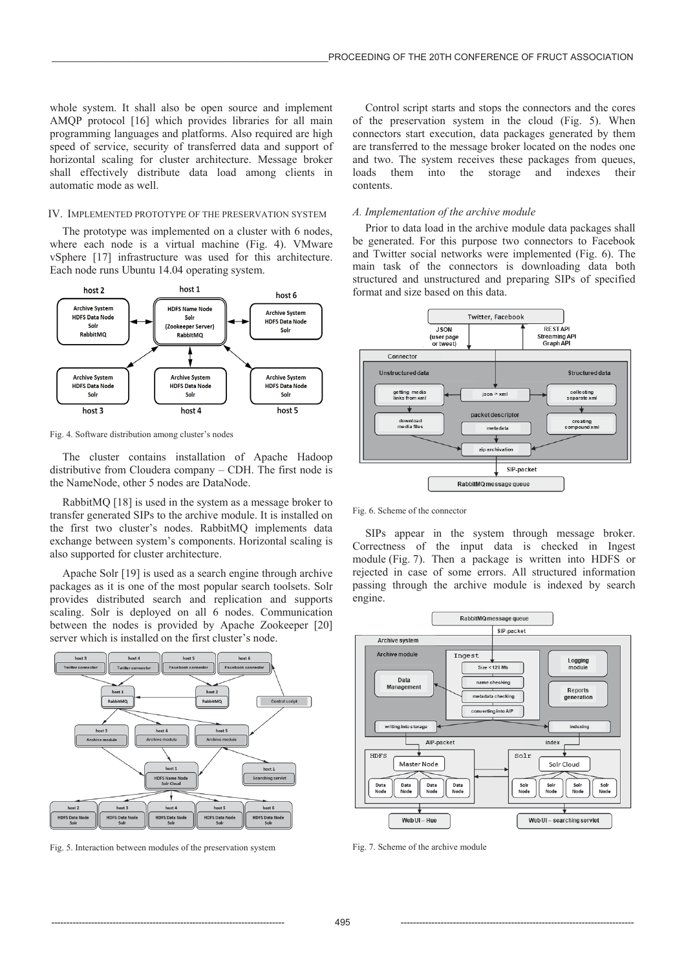whole system. It shall also be open source and implement AMQP protocol [16] which provides libraries for all main programming languages and platforms. Also required are high speed of service, security of transferred data and support of horizontal scaling for cluster architecture. Message broker shall effectively distribute data load among clients in automatic mode as well.

## IV. IMPLEMENTED PROTOTYPE OF THE PRESERVATION SYSTEM

The prototype was implemented on a cluster with 6 nodes, where each node is a virtual machine (Fig. 4). VMware vSphere [17] infrastructure was used for this architecture. Each node runs Ubuntu 14.04 operating system.



Fig. 4. Software distribution among cluster's nodes

The cluster contains installation of Apache Hadoop distributive from Cloudera company – CDH. The first node is the NameNode, other 5 nodes are DataNode.

RabbitMQ [18] is used in the system as a message broker to transfer generated SIPs to the archive module. It is installed on the first two cluster's nodes. RabbitMQ implements data exchange between system's components. Horizontal scaling is also supported for cluster architecture.

Apache Solr [19] is used as a search engine through archive packages as it is one of the most popular search toolsets. Solr provides distributed search and replication and supports scaling. Solr is deployed on all 6 nodes. Communication between the nodes is provided by Apache Zookeeper [20] server which is installed on the first cluster's node.



Fig. 5. Interaction between modules of the preservation system

Control script starts and stops the connectors and the cores of the preservation system in the cloud (Fig. 5). When connectors start execution, data packages generated by them are transferred to the message broker located on the nodes one and two. The system receives these packages from queues, loads them into the storage and indexes their contents.

#### *A. Implementation of the archive module*

Prior to data load in the archive module data packages shall be generated. For this purpose two connectors to Facebook and Twitter social networks were implemented (Fig. 6). The main task of the connectors is downloading data both structured and unstructured and preparing SIPs of specified format and size based on this data.



Fig. 6. Scheme of the connector

SIPs appear in the system through message broker. Correctness of the input data is checked in Ingest module (Fig. 7). Then a package is written into HDFS or rejected in case of some errors. All structured information passing through the archive module is indexed by search engine.



Fig. 7. Scheme of the archive module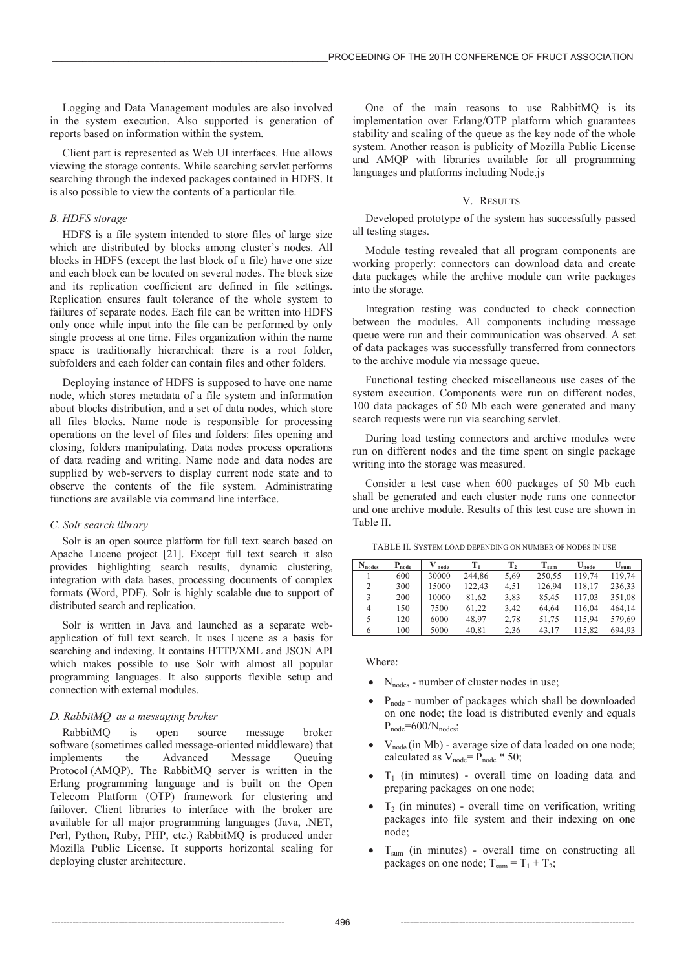Logging and Data Management modules are also involved in the system execution. Also supported is generation of reports based on information within the system.

Client part is represented as Web UI interfaces. Hue allows viewing the storage contents. While searching servlet performs searching through the indexed packages contained in HDFS. It is also possible to view the contents of a particular file.

# *B. HDFS storage*

HDFS is a file system intended to store files of large size which are distributed by blocks among cluster's nodes. All blocks in HDFS (except the last block of a file) have one size and each block can be located on several nodes. The block size and its replication coefficient are defined in file settings. Replication ensures fault tolerance of the whole system to failures of separate nodes. Each file can be written into HDFS only once while input into the file can be performed by only single process at one time. Files organization within the name space is traditionally hierarchical: there is a root folder, subfolders and each folder can contain files and other folders.

Deploying instance of HDFS is supposed to have one name node, which stores metadata of a file system and information about blocks distribution, and a set of data nodes, which store all files blocks. Name node is responsible for processing operations on the level of files and folders: files opening and closing, folders manipulating. Data nodes process operations of data reading and writing. Name node and data nodes are supplied by web-servers to display current node state and to observe the contents of the file system. Administrating functions are available via command line interface.

## *C. Solr search library*

Solr is an open source platform for full text search based on Apache Lucene project [21]. Except full text search it also provides highlighting search results, dynamic clustering, integration with data bases, processing documents of complex formats (Word, PDF). Solr is highly scalable due to support of distributed search and replication.

Solr is written in Java and launched as a separate webapplication of full text search. It uses Lucene as a basis for searching and indexing. It contains HTTP/XML and JSON API which makes possible to use Solr with almost all popular programming languages. It also supports flexible setup and connection with external modules.

# *D. RabbitMQ as a messaging broker*

RabbitMQ is open source message broker software (sometimes called message-oriented middleware) that implements the Advanced Message Queuing Protocol (AMQP). The RabbitMQ server is written in the Erlang programming language and is built on the Open Telecom Platform (OTP) framework for clustering and failover. Client libraries to interface with the broker are available for all major programming languages (Java, .NET, Perl, Python, Ruby, PHP, etc.) RabbitMQ is produced under Mozilla Public License. It supports horizontal scaling for deploying cluster architecture.

One of the main reasons to use RabbitMQ is its implementation over Erlang/OTP platform which guarantees stability and scaling of the queue as the key node of the whole system. Another reason is publicity of Mozilla Public License and AMQP with libraries available for all programming languages and platforms including Node.js

## V. RESULTS

Developed prototype of the system has successfully passed all testing stages.

Module testing revealed that all program components are working properly: connectors can download data and create data packages while the archive module can write packages into the storage.

Integration testing was conducted to check connection between the modules. All components including message queue were run and their communication was observed. A set of data packages was successfully transferred from connectors to the archive module via message queue.

Functional testing checked miscellaneous use cases of the system execution. Components were run on different nodes, 100 data packages of 50 Mb each were generated and many search requests were run via searching servlet.

During load testing connectors and archive modules were run on different nodes and the time spent on single package writing into the storage was measured.

Consider a test case when 600 packages of 50 Mb each shall be generated and each cluster node runs one connector and one archive module. Results of this test case are shown in Table II.

| $N_{nodes}$ | $P_{node}$ | node  |        | T <sub>2</sub> | $T_{sum}$ | $\mathbf{U}_{\text{node}}$ | $\mathbf{U}_{\text{sum}}$ |
|-------------|------------|-------|--------|----------------|-----------|----------------------------|---------------------------|
|             | 600        | 30000 | 244.86 | 5.69           | 250.55    | 119.74                     | 119.74                    |
|             | 300        | 15000 | 122.43 | 4.51           | 126.94    | 118,17                     | 236.33                    |
|             | 200        | 10000 | 81,62  | 3,83           | 85,45     | 117.03                     | 351,08                    |
|             | 150        | 7500  | 61.22  | 3.42           | 64,64     | 116,04                     | 464,14                    |
|             | 120        | 6000  | 48.97  | 2,78           | 51,75     | 115.94                     | 579,69                    |
| O           | 100        | 5000  | 40,81  | 2,36           | 43,17     | 115,82                     | 694,93                    |

TABLE II. SYSTEM LOAD DEPENDING ON NUMBER OF NODES IN USE

#### Where:

- $\bullet$  N<sub>nodes</sub> number of cluster nodes in use;
- $\bullet$  P<sub>node</sub> number of packages which shall be downloaded on one node; the load is distributed evenly and equals  $P_{node}=600/N_{nodes}$ ;
- $V_{node}$  (in Mb) average size of data loaded on one node; calculated as  $V_{node} = P_{node} * 50$ ;
- $T_1$  (in minutes) overall time on loading data and preparing packages on one node;
- $T_2$  (in minutes) overall time on verification, writing packages into file system and their indexing on one node;
- $T<sub>sum</sub>$  (in minutes) overall time on constructing all packages on one node;  $T_{\text{sum}} = T_1 + T_2$ ;